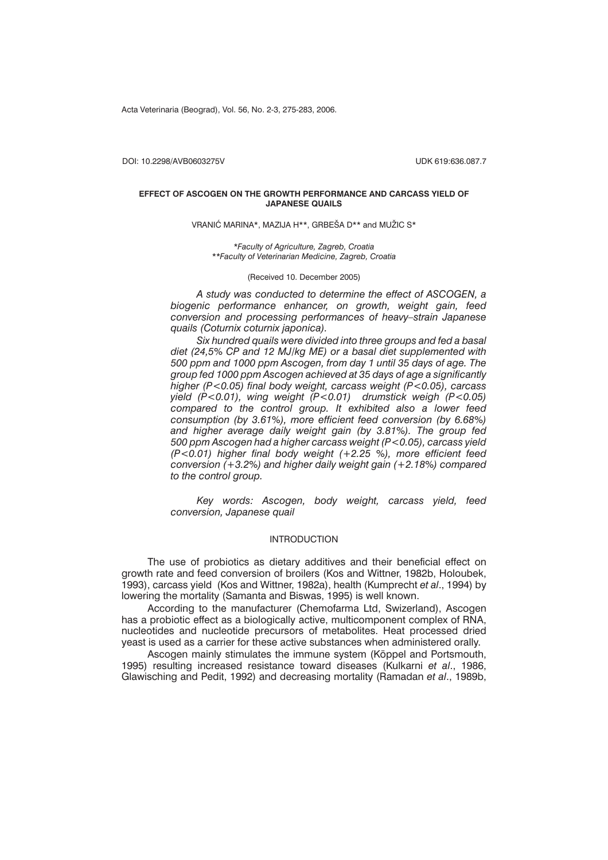Acta Veterinaria (Beograd), Vol. 56, No. 2-3, 275-283, 2006.

DOI: 10.2298/AVB0603275V UDK 619:636.087.7

### **EFFECT OF ASCOGEN ON THE GROWTH PERFORMANCE AND CARCASS YIELD OF JAPANESE QUAILS**

VRANIĆ MARINA\*, MAZIJA H\*\*, GRBEŠA D\*\* and MUŽIC S\*

*\*Faculty of Agriculture, Zagreb, Croatia \*\*Faculty of Veterinarian Medicine, Zagreb, Croatia*

(Received 10. December 2005)

*A study was conducted to determine the effect of ASCOGEN, a biogenic performance enhancer, on growth, weight gain, feed conversion and processing performances of heavy–strain Japanese quails (Coturnix coturnix japonica).*

*Six hundred quails were divided into three groups and fed a basal diet (24,5% CP and 12 MJ/kg ME) or a basal diet supplemented with 500 ppm and 1000 ppm Ascogen, from day 1 until 35 days of age. The group fed 1000 ppm Ascogen achieved at 35 days of age a significantly higher (P<0.05) final body weight, carcass weight (P<0.05), carcass yield (P<0.01), wing weight (P<0.01) drumstick weigh (P<0.05) compared to the control group. It exhibited also a lower feed consumption (by 3.61%), more efficient feed conversion (by 6.68%) and higher average daily weight gain (by 3.81%). The group fed 500 ppm Ascogen had a higher carcass weight (P<0.05), carcass yield (P<0.01) higher final body weight (+2.25 %), more efficient feed conversion (+3.2%) and higher daily weight gain (+2.18%) compared to the control group.*

*Key words: Ascogen, body weight, carcass yield, feed conversion, Japanese quail*

### INTRODUCTION

The use of probiotics as dietary additives and their beneficial effect on growth rate and feed conversion of broilers (Kos and Wittner, 1982b, Holoubek, 1993), carcass yield (Kos and Wittner, 1982a), health (Kumprecht *et al*., 1994) by lowering the mortality (Samanta and Biswas, 1995) is well known.

According to the manufacturer (Chemofarma Ltd, Swizerland), Ascogen has a probiotic effect as a biologically active, multicomponent complex of RNA, nucleotides and nucleotide precursors of metabolites. Heat processed dried yeast is used as a carrier for these active substances when administered orally.

Ascogen mainly stimulates the immune system (Köppel and Portsmouth, 1995) resulting increased resistance toward diseases (Kulkarni *et al*., 1986, Glawisching and Pedit, 1992) and decreasing mortality (Ramadan *et al*., 1989b,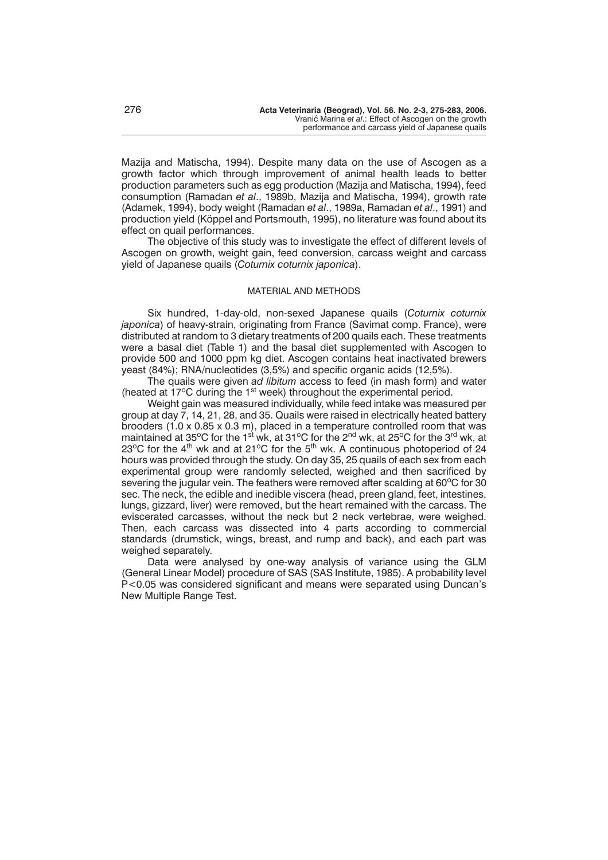Mazija and Matischa, 1994). Despite many data on the use of Ascogen as a growth factor which through improvement of animal health leads to better production parameters such as egg production (Mazija and Matischa, 1994), feed consumption (Ramadan *et al*., 1989b, Mazija and Matischa, 1994), growth rate (Adamek, 1994), body weight (Ramadan *et al*., 1989a, Ramadan *et al*., 1991) and production yield (Köppel and Portsmouth, 1995), no literature was found about its effect on quail performances.

The objective of this study was to investigate the effect of different levels of Ascogen on growth, weight gain, feed conversion, carcass weight and carcass yield of Japanese quails (*Coturnix coturnix japonica*).

### MATERIAL AND METHODS

Six hundred, 1-day-old, non-sexed Japanese quails (*Coturnix coturnix japonica*) of heavy-strain, originating from France (Savimat comp. France), were distributed at random to 3 dietary treatments of 200 quails each. These treatments were a basal diet (Table 1) and the basal diet supplemented with Ascogen to provide 500 and 1000 ppm kg diet. Ascogen contains heat inactivated brewers yeast (84%); RNA/nucleotides (3,5%) and specific organic acids (12,5%).

The quails were given *ad libitum* access to feed (in mash form) and water (heated at  $17^{\circ}$ C during the 1<sup>st</sup> week) throughout the experimental period.

Weight gain was measured individually, while feed intake was measured per group at day 7, 14, 21, 28, and 35. Quails were raised in electrically heated battery brooders (1.0 x 0.85 x 0.3 m), placed in a temperature controlled room that was maintained at 35°C for the 1<sup>st w</sup>k, at 31°C for the 2<sup>nd</sup> wk, at 25°C for the 3<sup>rd</sup> wk, at 23 $\degree$ C for the 4<sup>th</sup> wk and at 21 $\degree$ C for the 5<sup>th</sup> wk. A continuous photoperiod of 24 hours was provided through the study. On day 35, 25 quails of each sex from each experimental group were randomly selected, weighed and then sacrificed by severing the jugular vein. The feathers were removed after scalding at 60°C for 30 sec. The neck, the edible and inedible viscera (head, preen gland, feet, intestines, lungs, gizzard, liver) were removed, but the heart remained with the carcass. The eviscerated carcasses, without the neck but 2 neck vertebrae, were weighed. Then, each carcass was dissected into 4 parts according to commercial standards (drumstick, wings, breast, and rump and back), and each part was weighed separately.

Data were analysed by one-way analysis of variance using the GLM (General Linear Model) procedure of SAS (SAS Institute, 1985). A probability level P<0.05 was considered significant and means were separated using Duncan's New Multiple Range Test.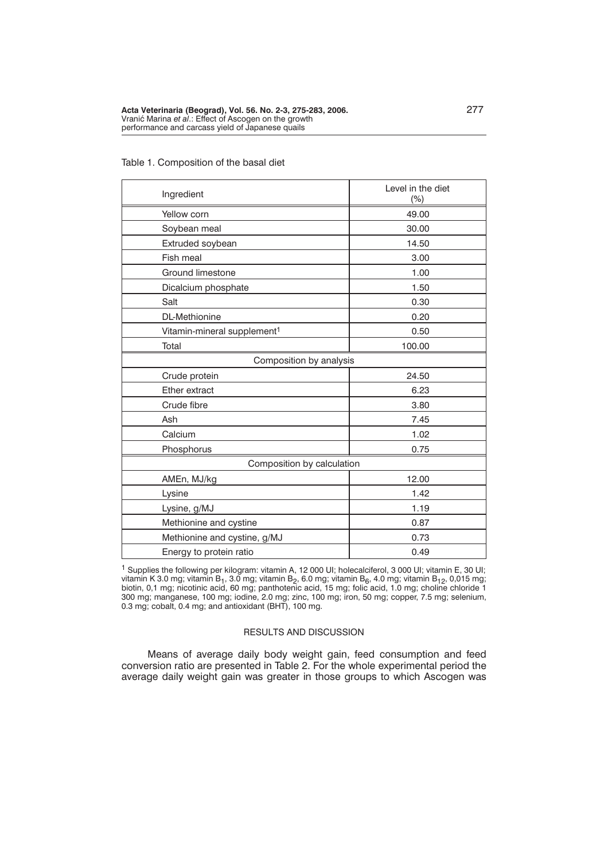| Ingredient                              | Level in the diet<br>$(\%)$ |
|-----------------------------------------|-----------------------------|
| Yellow corn                             | 49.00                       |
| Soybean meal                            | 30.00                       |
| Extruded soybean                        | 14.50                       |
| Fish meal                               | 3.00                        |
| Ground limestone                        | 1.00                        |
| Dicalcium phosphate                     | 1.50                        |
| Salt                                    | 0.30                        |
| DL-Methionine                           | 0.20                        |
| Vitamin-mineral supplement <sup>1</sup> | 0.50                        |
| Total                                   | 100.00                      |
| Composition by analysis                 |                             |
| Crude protein                           | 24.50                       |
| Ether extract                           | 6.23                        |
| Crude fibre                             | 3.80                        |
| Ash                                     | 7.45                        |
| Calcium                                 | 1.02                        |
| Phosphorus                              | 0.75                        |
| Composition by calculation              |                             |
| AMEn, MJ/kg                             | 12.00                       |
| Lysine                                  | 1.42                        |
| Lysine, g/MJ                            | 1.19                        |
| Methionine and cystine                  | 0.87                        |
| Methionine and cystine, g/MJ            | 0.73                        |
| Energy to protein ratio                 | 0.49                        |

# Table 1. Composition of the basal diet

1 Supplies the following per kilogram: vitamin A, 12 000 UI; holecalciferol, 3 000 UI; vitamin E, 30 UI; vitamin K 3.0 mg; vitamin B<sub>1</sub>, 3.0 mg; vitamin B<sub>2</sub>, 6.0 mg; vitamin B<sub>6</sub>, 4.0 mg; vitamin B<sub>12</sub>, 0,015 mg;<br>biotin, 0,1 mg; nicotinic acid, 60 mg; panthotenic acid, 15 mg; folic acid, 1.0 mg; choline chloride 1 300 mg; manganese, 100 mg; iodine, 2.0 mg; zinc, 100 mg; iron, 50 mg; copper, 7.5 mg; selenium, 0.3 mg; cobalt, 0.4 mg; and antioxidant (BHT), 100 mg.

# RESULTS AND DISCUSSION

Means of average daily body weight gain, feed consumption and feed conversion ratio are presented in Table 2. For the whole experimental period the average daily weight gain was greater in those groups to which Ascogen was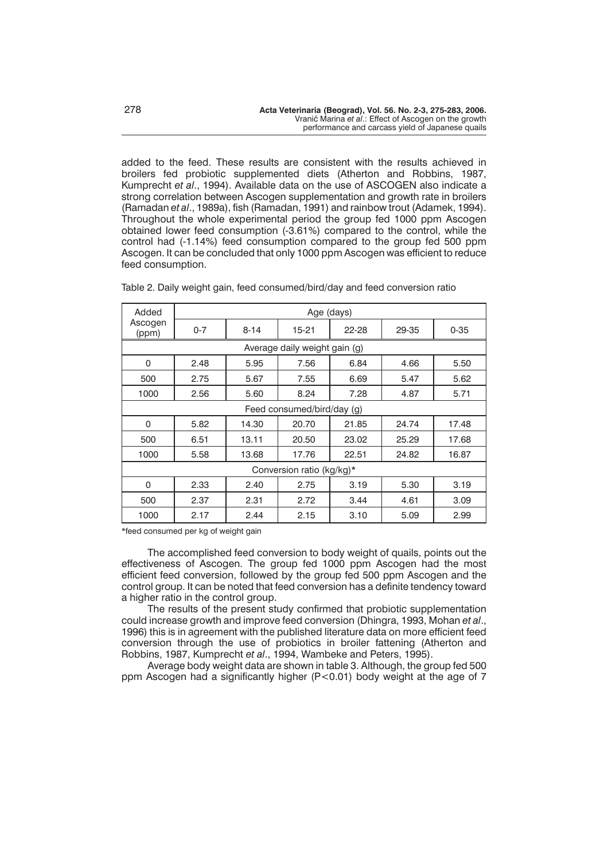added to the feed. These results are consistent with the results achieved in broilers fed probiotic supplemented diets (Atherton and Robbins, 1987, Kumprecht *et al*., 1994). Available data on the use of ASCOGEN also indicate a strong correlation between Ascogen supplementation and growth rate in broilers (Ramadan *et al*., 1989a), fish (Ramadan, 1991) and rainbow trout (Adamek, 1994). Throughout the whole experimental period the group fed 1000 ppm Ascogen obtained lower feed consumption (-3.61%) compared to the control, while the control had (-1.14%) feed consumption compared to the group fed 500 ppm Ascogen. It can be concluded that only 1000 ppm Ascogen was efficient to reduce feed consumption.

| Added            |         |          | Age (days)                    |       |       |          |
|------------------|---------|----------|-------------------------------|-------|-------|----------|
| Ascogen<br>(ppm) | $0 - 7$ | $8 - 14$ | 15-21                         | 22-28 | 29-35 | $0 - 35$ |
|                  |         |          | Average daily weight gain (g) |       |       |          |
| 0                | 2.48    | 5.95     | 7.56                          | 6.84  | 4.66  | 5.50     |
| 500              | 2.75    | 5.67     | 7.55                          | 6.69  | 5.47  | 5.62     |
| 1000             | 2.56    | 5.60     | 8.24                          | 7.28  | 4.87  | 5.71     |
|                  |         |          | Feed consumed/bird/day (g)    |       |       |          |
| $\Omega$         | 5.82    | 14.30    | 20.70                         | 21.85 | 24.74 | 17.48    |
| 500              | 6.51    | 13.11    | 20.50                         | 23.02 | 25.29 | 17.68    |
| 1000             | 5.58    | 13.68    | 17.76                         | 22.51 | 24.82 | 16.87    |
|                  |         |          | Conversion ratio (kg/kg)*     |       |       |          |
| 0                | 2.33    | 2.40     | 2.75                          | 3.19  | 5.30  | 3.19     |
| 500              | 2.37    | 2.31     | 2.72                          | 3.44  | 4.61  | 3.09     |
| 1000             | 2.17    | 2.44     | 2.15                          | 3.10  | 5.09  | 2.99     |

Table 2. Daily weight gain, feed consumed/bird/day and feed conversion ratio

\*feed consumed per kg of weight gain

The accomplished feed conversion to body weight of quails, points out the effectiveness of Ascogen. The group fed 1000 ppm Ascogen had the most efficient feed conversion, followed by the group fed 500 ppm Ascogen and the control group. It can be noted that feed conversion has a definite tendency toward a higher ratio in the control group.

The results of the present study confirmed that probiotic supplementation could increase growth and improve feed conversion (Dhingra, 1993, Mohan *et al*., 1996) this is in agreement with the published literature data on more efficient feed conversion through the use of probiotics in broiler fattening (Atherton and Robbins, 1987, Kumprecht *et al*., 1994, Wambeke and Peters, 1995).

Average body weight data are shown in table 3. Although, the group fed 500 ppm Ascogen had a significantly higher (P<0.01) body weight at the age of 7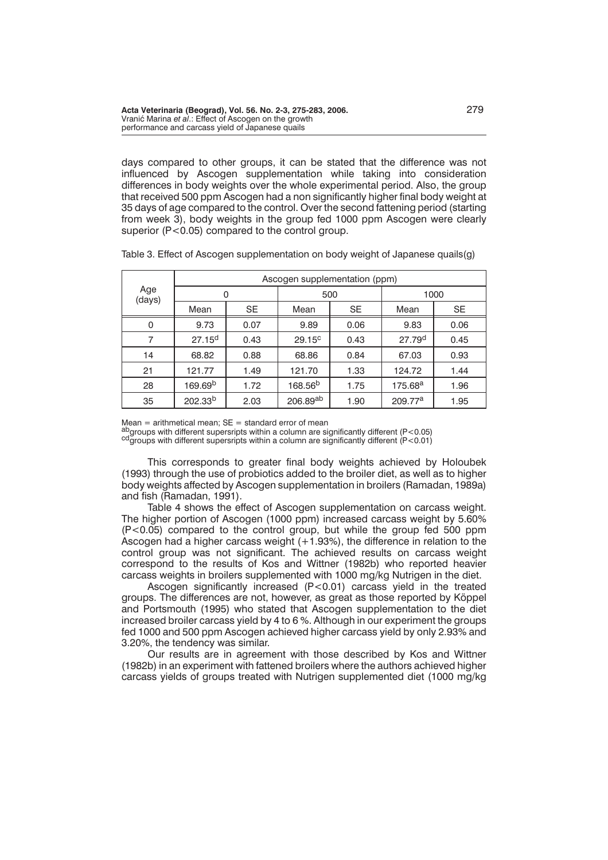days compared to other groups, it can be stated that the difference was not influenced by Ascogen supplementation while taking into consideration differences in body weights over the whole experimental period. Also, the group that received 500 ppm Ascogen had a non significantly higher final body weight at 35 days of age compared to the control. Over the second fattening period (starting from week 3), body weights in the group fed 1000 ppm Ascogen were clearly superior (P<0.05) compared to the control group.

|               |                     |           | Ascogen supplementation (ppm) |                    |                     |           |
|---------------|---------------------|-----------|-------------------------------|--------------------|---------------------|-----------|
| Age<br>(days) | 0                   |           | 500                           |                    | 1000                |           |
|               | Mean                | <b>SE</b> | Mean                          | <b>SE</b>          | Mean                | <b>SE</b> |
| $\Omega$      | 9.73                | 0.07      | 9.89                          | 0.06               | 9.83                | 0.06      |
| 7             | $27.15^{d}$         | 0.43      | $29.15^{\circ}$               | 27.79 <sup>d</sup> | 0.45                |           |
| 14            | 68.82               | 0.88      | 68.86                         | 0.84               | 67.03               | 0.93      |
| 21            | 121.77              | 1.49      | 121.70                        | 1.33               | 124.72              | 1.44      |
| 28            | 169.69 <sup>b</sup> | 1.72      | 168.56 <sup>b</sup>           | 1.75               | 175.68 <sup>a</sup> | 1.96      |
| 35            | 202.33 <sup>b</sup> | 2.03      | 206.89ab                      | 1.90               | 209.77 <sup>a</sup> | 1.95      |

Table 3. Effect of Ascogen supplementation on body weight of Japanese quails(g)

 $Mean = arithmetical mean; SE = standard error of mean$ 

abgroups with different supersripts within a column are significantly different (P<0.05) cd groups with different supersripts within a column are significantly different (P<0.01)

This corresponds to greater final body weights achieved by Holoubek (1993) through the use of probiotics added to the broiler diet, as well as to higher body weights affected by Ascogen supplementation in broilers (Ramadan, 1989a) and fish (Ramadan, 1991).

Table 4 shows the effect of Ascogen supplementation on carcass weight. The higher portion of Ascogen (1000 ppm) increased carcass weight by 5.60% (P<0.05) compared to the control group, but while the group fed 500 ppm Ascogen had a higher carcass weight (+1.93%), the difference in relation to the control group was not significant. The achieved results on carcass weight correspond to the results of Kos and Wittner (1982b) who reported heavier carcass weights in broilers supplemented with 1000 mg/kg Nutrigen in the diet.

Ascogen significantly increased (P<0.01) carcass yield in the treated groups. The differences are not, however, as great as those reported by Köppel and Portsmouth (1995) who stated that Ascogen supplementation to the diet increased broiler carcass yield by 4 to 6 %. Although in our experiment the groups fed 1000 and 500 ppm Ascogen achieved higher carcass yield by only 2.93% and 3.20%, the tendency was similar.

Our results are in agreement with those described by Kos and Wittner (1982b) in an experiment with fattened broilers where the authors achieved higher carcass yields of groups treated with Nutrigen supplemented diet (1000 mg/kg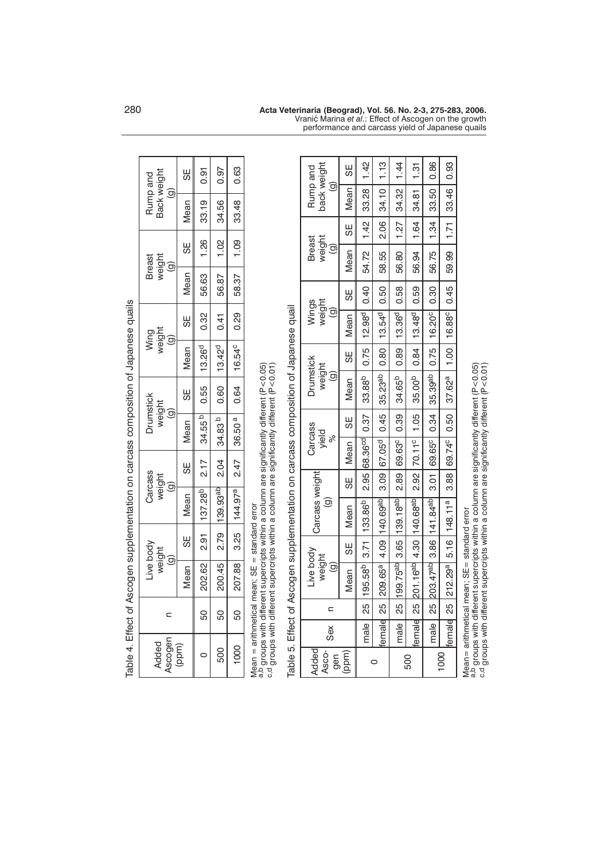|                       |       |                          |                                               |                                               | Table 4. Effect of Ascogen supplementation on carcass composition of Japanese quails                                                                                                 |                                             |                              |                                                      |                                               |                    |                                          |       |                                                   |      |                                                   |      |
|-----------------------|-------|--------------------------|-----------------------------------------------|-----------------------------------------------|--------------------------------------------------------------------------------------------------------------------------------------------------------------------------------------|---------------------------------------------|------------------------------|------------------------------------------------------|-----------------------------------------------|--------------------|------------------------------------------|-------|---------------------------------------------------|------|---------------------------------------------------|------|
| Ascogen<br>Added      |       | $\mathbf{C}$             |                                               | Live body<br>weight<br>$\widehat{\mathbf{e}}$ |                                                                                                                                                                                      | Carcass<br>weight<br>$\widehat{\mathbf{e}}$ |                              | <b>Drumstick</b><br>weight<br>$\widehat{\mathbf{e}}$ |                                               |                    | weight<br>Wing<br>$\widehat{\mathbf{e}}$ |       | weight<br><b>Breast</b><br>$\widehat{\mathbf{e}}$ |      | Back weight<br>Rump and<br>$\widehat{\mathbf{e}}$ |      |
| (ppm)                 |       |                          | Mean                                          | ΞS                                            | Mean                                                                                                                                                                                 |                                             | 55                           | Mean                                                 | 58                                            | Mean               | Ϲ                                        | Mean  | 58                                                |      | Mean                                              | 55   |
| $\circ$               |       | 50                       | 202.62                                        | 2.91                                          | 137.28 <sup>b</sup>                                                                                                                                                                  |                                             | 2.17                         | 34.55 <sup>b</sup>                                   | 0.55                                          | 13.26 <sup>d</sup> | 0.32                                     | 56.63 | 1.26                                              |      | 33.19                                             | 0.91 |
| 500                   |       | 50                       | 200.45                                        | 2.79                                          | 139.93ab                                                                                                                                                                             |                                             | 2.04                         | 34.83 b                                              | 0.60                                          | 13.42 <sup>d</sup> | 0.41                                     | 56.87 | 1.02                                              |      | 34.56                                             | 0.97 |
| 1000                  |       | 50                       | 207.88                                        | 3.25                                          | 144.97 <sup>a</sup>                                                                                                                                                                  |                                             | 2.47                         | 36.50 <sup>a</sup>                                   | 0.64                                          | 16.54 <sup>c</sup> | 0.29                                     | 58.37 | 1.09                                              |      | 33.48                                             | 0.63 |
| უ<br>ს                |       |                          | Mean = arithmetical mean; SE = standard error |                                               | a.b groups with different supercripts within a column are significantly different (P<0.05)<br>groups with different supercripts within a column are significantly different (P<0.01) |                                             |                              |                                                      |                                               |                    |                                          |       |                                                   |      |                                                   |      |
|                       |       |                          |                                               |                                               | Table 5. Effect of Ascogen supplementation on carcass composition of Japanese quail                                                                                                  |                                             |                              |                                                      |                                               |                    |                                          |       |                                                   |      |                                                   |      |
| Added<br>Asco-<br>gen | Sex   | $\overline{\phantom{a}}$ | Live body<br>weight<br>ම                      |                                               | Carcass weight<br>ම                                                                                                                                                                  |                                             | Carcass<br>yield<br>$\aleph$ |                                                      | Drumstick<br>weight<br>$\widehat{\mathbf{e}}$ |                    | weight<br>Wings<br>ම                     |       | <b>Breast</b><br>weight<br>$\widehat{\mathbf{e}}$ |      | back weight<br>Rump and<br>ම                      |      |
| (ppm)                 |       |                          | Mean                                          | 58                                            | Mean                                                                                                                                                                                 | 58                                          | Mean                         | 58                                                   | Mean                                          | 59                 | Mean                                     | 59    | Mean                                              | 58   | Mean                                              | 58   |
|                       | male  | 25                       | 195.58 <sup>b</sup>                           | 3.71                                          | 133.86 <sup>b</sup>                                                                                                                                                                  | 2.95                                        | <b>68.36cd</b>               | 0.37                                                 | 33.88 <sup>b</sup>                            | 0.75               | 12.98 <sup>d</sup>                       | 0.40  | 54.72                                             | 1.42 | 33.28                                             | 1.42 |
| 0                     | emale | 25                       | $209.65^{\circ}$                              | 4.09                                          | 140.69ab                                                                                                                                                                             | 3.09                                        | 67.05 <sup>d</sup>           | 0.45                                                 | 35.23 <sup>ab</sup>                           | 0.80               | $13.54^{d}$                              | 0.50  | 58.55                                             | 2.06 | 34.10                                             | 1.13 |
|                       | male  | 25<br>20                 | 199.75 <sup>ab</sup>                          | 3.65                                          | 139.18 <sup>ab</sup>                                                                                                                                                                 | $\frac{89}{2}$                              | 69.63°                       | 0.39                                                 | 34.65 <sup>b</sup>                            | 0.89               | $13.36^{d}$                              | 0.58  | 56.80                                             | 1.27 | 34.32                                             | 1.44 |
| 500                   | emale | 25                       | 201.16 <sup>ab</sup>                          | 4.30                                          | 140.68ab                                                                                                                                                                             | 2.92                                        | 70.11 <sup>c</sup>           | 1.05                                                 | 35.00 <sup>b</sup>                            | 0.84               | $13.48^{d}$                              | 0.59  | 56.94                                             | 1.64 | 34.81                                             | 1.31 |
|                       | male  | 25                       | 203.47 <sup>ab</sup>                          | 3.86                                          | 141.84ab                                                                                                                                                                             | 3.01                                        | 69.65°                       | 0.34                                                 | 35.39 <sup>ab</sup>                           | 0.75               | 16.20 <sup>c</sup>                       | 0.30  | 56.75                                             | 1.34 | 33.50                                             | 0.86 |
| 1000                  |       |                          | female 25 212.29 <sup>a</sup> 5.16            |                                               | 148.11 <sup>a</sup>                                                                                                                                                                  |                                             | 3.88 69.74° 0.50             |                                                      | 37.62 <sup>a</sup>                            | 1.00               | 16.88°                                   | 0.45  | 59.99                                             | 1.71 | 33.46                                             | 0.93 |

Mean= arithmetical mean; SE= standard error<br><sup>a,b</sup> groups with different supercripts within a column are significantly different (P<0.05)<br><sup>c,d</sup> groups with different supercripts within a column are significantly different Mean= arithmetical mean; SE= standard error<br><sup>a,b</sup> groups with different supercripts within a column are significantly different (P<0.05)<br><sup>c,d</sup> groups with different supercripts within a column are significantly different

280 **Acta Veterinaria (Beograd), Vol. 56. No. 2-3, 275-283, 2006.** Vrani} Marina *et al*.: Effect of Ascogen on the growth performance and carcass yield of Japanese quails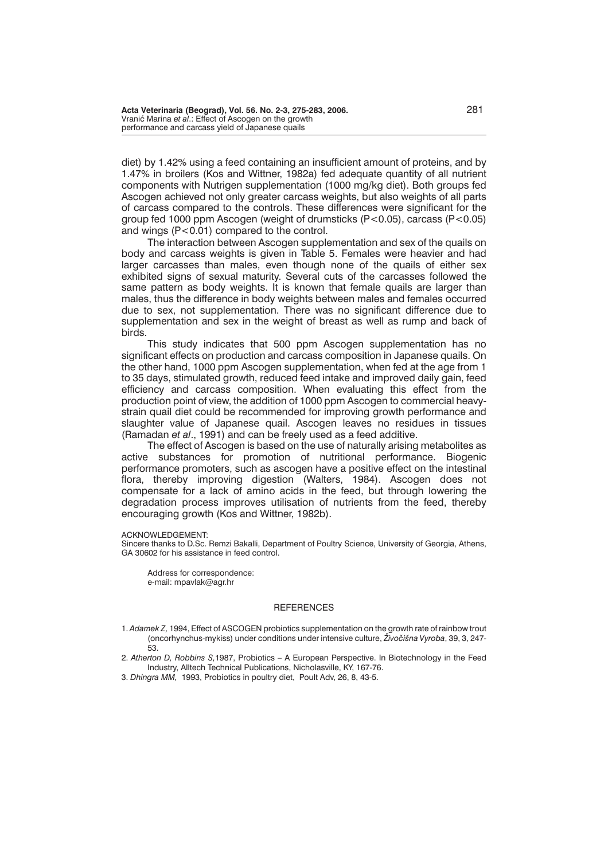diet) by 1.42% using a feed containing an insufficient amount of proteins, and by 1.47% in broilers (Kos and Wittner, 1982a) fed adequate quantity of all nutrient components with Nutrigen supplementation (1000 mg/kg diet). Both groups fed Ascogen achieved not only greater carcass weights, but also weights of all parts of carcass compared to the controls. These differences were significant for the group fed 1000 ppm Ascogen (weight of drumsticks (P<0.05), carcass (P<0.05) and wings (P<0.01) compared to the control.

The interaction between Ascogen supplementation and sex of the quails on body and carcass weights is given in Table 5. Females were heavier and had larger carcasses than males, even though none of the quails of either sex exhibited signs of sexual maturity. Several cuts of the carcasses followed the same pattern as body weights. It is known that female quails are larger than males, thus the difference in body weights between males and females occurred due to sex, not supplementation. There was no significant difference due to supplementation and sex in the weight of breast as well as rump and back of birds.

This study indicates that 500 ppm Ascogen supplementation has no significant effects on production and carcass composition in Japanese quails. On the other hand, 1000 ppm Ascogen supplementation, when fed at the age from 1 to 35 days, stimulated growth, reduced feed intake and improved daily gain, feed efficiency and carcass composition. When evaluating this effect from the production point of view, the addition of 1000 ppm Ascogen to commercial heavystrain quail diet could be recommended for improving growth performance and slaughter value of Japanese quail. Ascogen leaves no residues in tissues (Ramadan *et al*., 1991) and can be freely used as a feed additive.

The effect of Ascogen is based on the use of naturally arising metabolites as active substances for promotion of nutritional performance. Biogenic performance promoters, such as ascogen have a positive effect on the intestinal flora, thereby improving digestion (Walters, 1984). Ascogen does not compensate for a lack of amino acids in the feed, but through lowering the degradation process improves utilisation of nutrients from the feed, thereby encouraging growth (Kos and Wittner, 1982b).

#### ACKNOWLEDGEMENT:

Sincere thanks to D.Sc. Remzi Bakalli, Department of Poultry Science, University of Georgia, Athens, GA 30602 for his assistance in feed control.

Address for correspondence: e-mail: mpavlak@agr.hr

### **REFERENCES**

- 1. *Adamek Z,* 1994, Effect of ASCOGEN probiotics supplementation on the growth rate of rainbow trout (oncorhynchus-mykiss) under conditions under intensive culture, *Živočišna Vyroba*, 39, 3, 247-53.
- 2. *Atherton D, Robbins S,*1987, Probiotics A European Perspective. In Biotechnology in the Feed Industry, Alltech Technical Publications, Nicholasville, KY, 167-76.
- 3. *Dhingra MM,* 1993, Probiotics in poultry diet, Poult Adv, 26, 8, 43-5.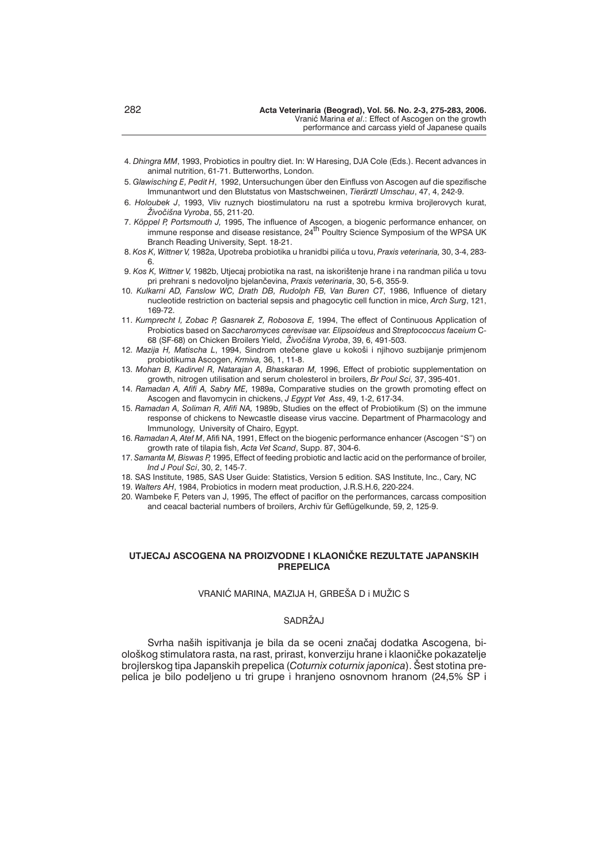- 4. *Dhingra MM*, 1993, Probiotics in poultry diet. In: W Haresing, DJA Cole (Eds.). Recent advances in animal nutrition, 61-71. Butterworths, London.
- 5. *Glawisching E, Pedit H*, 1992, Untersuchungen über den Einfluss von Ascogen auf die spezifische Immunantwort und den Blutstatus von Mastschweinen, *Tierärztl Umschau*, 47, 4, 242-9.
- 6. *Holoubek J*, 1993, Vliv ruznych biostimulatoru na rust a spotrebu krmiva brojlerovych kurat, *@ivo~i{na Vyroba*, 55, 211-20.
- 7. *Köppel P, Portsmouth J,* 1995, The influence of Ascogen, a biogenic performance enhancer, on immune response and disease resistance, 24<sup>th</sup> Poultry Science Symposium of the WPSA UK Branch Reading University, Sept. 18-21.
- 8. *Kos K, Wittner V,* 1982a, Upotreba probiotika u hranidbi pili}a u tovu, *Praxis veterinaria,* 30, 3-4, 283- 6.
- 9. Kos K, Wittner V, 1982b, Utjecaj probiotika na rast, na iskorištenje hrane i na randman pilića u tovu pri prehrani s nedovoljno bjelan~evina, *Praxis veterinaria*, 30, 5-6, 355-9.
- 10. *Kulkarni AD, Fanslow WC, Drath DB, Rudolph FB, Van Buren CT*, 1986, Influence of dietary nucleotide restriction on bacterial sepsis and phagocytic cell function in mice, *Arch Surg*, 121, 169-72.
- 11. *Kumprecht I, Zobac P, Gasnarek Z, Robosova E,* 1994, The effect of Continuous Application of Probiotics based on *Saccharomyces cerevisae var. Elipsoideus* and *Streptococcus faceium* C-68 (SF-68) on Chicken Broilers Yield, *@ivo~i{na Vyroba*, 39, 6, 491-503.
- 12. Mazija H, Matischa L, 1994, Sindrom otečene glave u kokoši i njihovo suzbijanje primjenom probiotikuma Ascogen, *Krmiva,* 36, 1, 11-8.
- 13. *Mohan B, Kadirvel R, Natarajan A, Bhaskaran M,* 1996, Effect of probiotic supplementation on growth, nitrogen utilisation and serum cholesterol in broilers, *Br Poul Sci,* 37, 395-401.
- 14. *Ramadan A, Afifi A, Sabry ME,* 1989a, Comparative studies on the growth promoting effect on Ascogen and flavomycin in chickens, *J Egypt Vet Ass*, 49, 1-2, 617-34.
- 15. *Ramadan A, Soliman R, Afifi NA,* 1989b, Studies on the effect of Probiotikum (S) on the immune response of chickens to Newcastle disease virus vaccine. Department of Pharmacology and Immunology, University of Chairo, Egypt.
- 16. *Ramadan A, Atef M*, Afifi NA, 1991, Effect on the biogenic performance enhancer (Ascogen "S") on growth rate of tilapia fish, *Acta Vet Scand*, Supp. 87, 304-6.
- 17. *Samanta M, Biswas P,* 1995, Effect of feeding probiotic and lactic acid on the performance of broiler, *Ind J Poul Sci*, 30, 2, 145-7.
- 18. SAS Institute, 1985, SAS User Guide: Statistics, Version 5 edition. SAS Institute, Inc., Cary, NC
- 19. *Walters AH*, 1984, Probiotics in modern meat production, J.R.S.H.6, 220-224.
- 20. Wambeke F, Peters van J, 1995, The effect of paciflor on the performances, carcass composition and ceacal bacterial numbers of broilers, Archiv für Geflügelkunde, 59, 2, 125-9.

## **UTJECAJ ASCOGENA NA PROIZVODNE I KLAONI^KE REZULTATE JAPANSKIH PREPELICA**

## VRANIĆ MARINA, MAZIJA H, GRBEŠA D i MUŽIC S

# SADRŽAJ

Syrha naših ispitivania je bila da se oceni značaj dodatka Ascogena, biološkog stimulatora rasta, na rast, prirast, konverziju hrane i klaoničke pokazatelje brojlerskog tipa Japanskih prepelica (*Coturnix coturnix japonica*). Šest stotina prepelica je bilo podeljeno u tri grupe i hranjeno osnovnom hranom (24,5% SP i